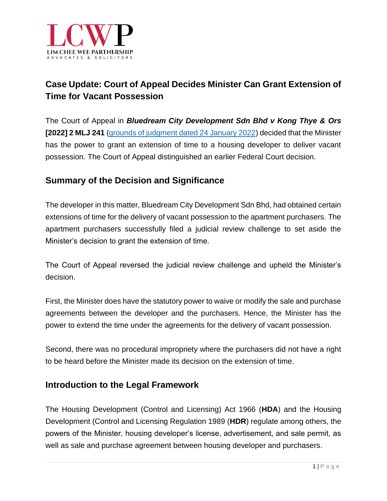

# **Case Update: Court of Appeal Decides Minister Can Grant Extension of Time for Vacant Possession**

The Court of Appeal in *Bluedream City Development Sdn Bhd v Kong Thye & Ors*  **[2022] 2 MLJ 241** [\(grounds of judgment dated 24 January 2022\)](https://themalaysianlawyer.com/wp-content/uploads/2022/02/Bluedream-GOJ.pdf) decided that the Minister has the power to grant an extension of time to a housing developer to deliver vacant possession. The Court of Appeal distinguished an earlier Federal Court decision.

### **Summary of the Decision and Significance**

The developer in this matter, Bluedream City Development Sdn Bhd, had obtained certain extensions of time for the delivery of vacant possession to the apartment purchasers. The apartment purchasers successfully filed a judicial review challenge to set aside the Minister's decision to grant the extension of time.

The Court of Appeal reversed the judicial review challenge and upheld the Minister's decision.

First, the Minister does have the statutory power to waive or modify the sale and purchase agreements between the developer and the purchasers. Hence, the Minister has the power to extend the time under the agreements for the delivery of vacant possession.

Second, there was no procedural impropriety where the purchasers did not have a right to be heard before the Minister made its decision on the extension of time.

#### **Introduction to the Legal Framework**

The Housing Development (Control and Licensing) Act 1966 (**HDA**) and the Housing Development (Control and Licensing Regulation 1989 (**HDR**) regulate among others, the powers of the Minister, housing developer's license, advertisement, and sale permit, as well as sale and purchase agreement between housing developer and purchasers.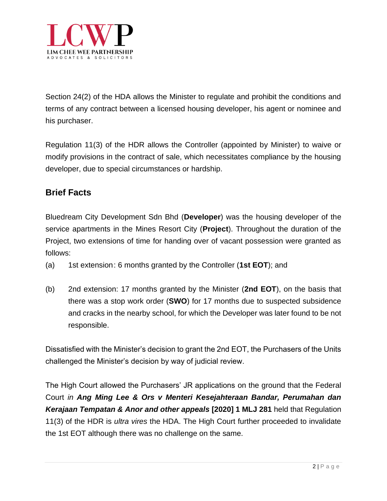

Section 24(2) of the HDA allows the Minister to regulate and prohibit the conditions and terms of any contract between a licensed housing developer, his agent or nominee and his purchaser.

Regulation 11(3) of the HDR allows the Controller (appointed by Minister) to waive or modify provisions in the contract of sale, which necessitates compliance by the housing developer, due to special circumstances or hardship.

### **Brief Facts**

Bluedream City Development Sdn Bhd (**Developer**) was the housing developer of the service apartments in the Mines Resort City (**Project**). Throughout the duration of the Project, two extensions of time for handing over of vacant possession were granted as follows:

- (a) 1st extension: 6 months granted by the Controller (**1st EOT**); and
- (b) 2nd extension: 17 months granted by the Minister (**2nd EOT**), on the basis that there was a stop work order (**SWO**) for 17 months due to suspected subsidence and cracks in the nearby school, for which the Developer was later found to be not responsible.

Dissatisfied with the Minister's decision to grant the 2nd EOT, the Purchasers of the Units challenged the Minister's decision by way of judicial review.

The High Court allowed the Purchasers' JR applications on the ground that the Federal Court *in Ang Ming Lee & Ors v Menteri Kesejahteraan Bandar, Perumahan dan Kerajaan Tempatan & Anor and other appeals* **[2020] 1 MLJ 281** held that Regulation 11(3) of the HDR is *ultra vires* the HDA. The High Court further proceeded to invalidate the 1st EOT although there was no challenge on the same.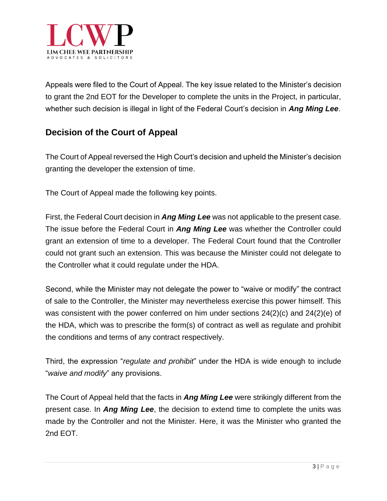

Appeals were filed to the Court of Appeal. The key issue related to the Minister's decision to grant the 2nd EOT for the Developer to complete the units in the Project, in particular, whether such decision is illegal in light of the Federal Court's decision in *Ang Ming Lee*.

## **Decision of the Court of Appeal**

The Court of Appeal reversed the High Court's decision and upheld the Minister's decision granting the developer the extension of time.

The Court of Appeal made the following key points.

First, the Federal Court decision in *Ang Ming Lee* was not applicable to the present case. The issue before the Federal Court in *Ang Ming Lee* was whether the Controller could grant an extension of time to a developer. The Federal Court found that the Controller could not grant such an extension. This was because the Minister could not delegate to the Controller what it could regulate under the HDA.

Second, while the Minister may not delegate the power to "waive or modify" the contract of sale to the Controller, the Minister may nevertheless exercise this power himself. This was consistent with the power conferred on him under sections 24(2)(c) and 24(2)(e) of the HDA, which was to prescribe the form(s) of contract as well as regulate and prohibit the conditions and terms of any contract respectively.

Third, the expression "*regulate and prohibit*" under the HDA is wide enough to include "*waive and modify*" any provisions.

The Court of Appeal held that the facts in *Ang Ming Lee* were strikingly different from the present case. In *Ang Ming Lee*, the decision to extend time to complete the units was made by the Controller and not the Minister. Here, it was the Minister who granted the 2nd EOT.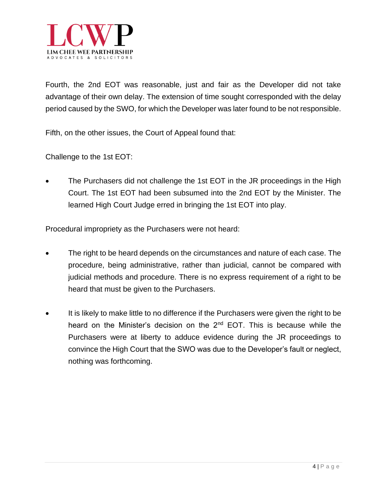

Fourth, the 2nd EOT was reasonable, just and fair as the Developer did not take advantage of their own delay. The extension of time sought corresponded with the delay period caused by the SWO, for which the Developer was later found to be not responsible.

Fifth, on the other issues, the Court of Appeal found that:

Challenge to the 1st EOT:

The Purchasers did not challenge the 1st EOT in the JR proceedings in the High Court. The 1st EOT had been subsumed into the 2nd EOT by the Minister. The learned High Court Judge erred in bringing the 1st EOT into play.

Procedural impropriety as the Purchasers were not heard:

- The right to be heard depends on the circumstances and nature of each case. The procedure, being administrative, rather than judicial, cannot be compared with judicial methods and procedure. There is no express requirement of a right to be heard that must be given to the Purchasers.
- It is likely to make little to no difference if the Purchasers were given the right to be heard on the Minister's decision on the 2<sup>nd</sup> EOT. This is because while the Purchasers were at liberty to adduce evidence during the JR proceedings to convince the High Court that the SWO was due to the Developer's fault or neglect, nothing was forthcoming.